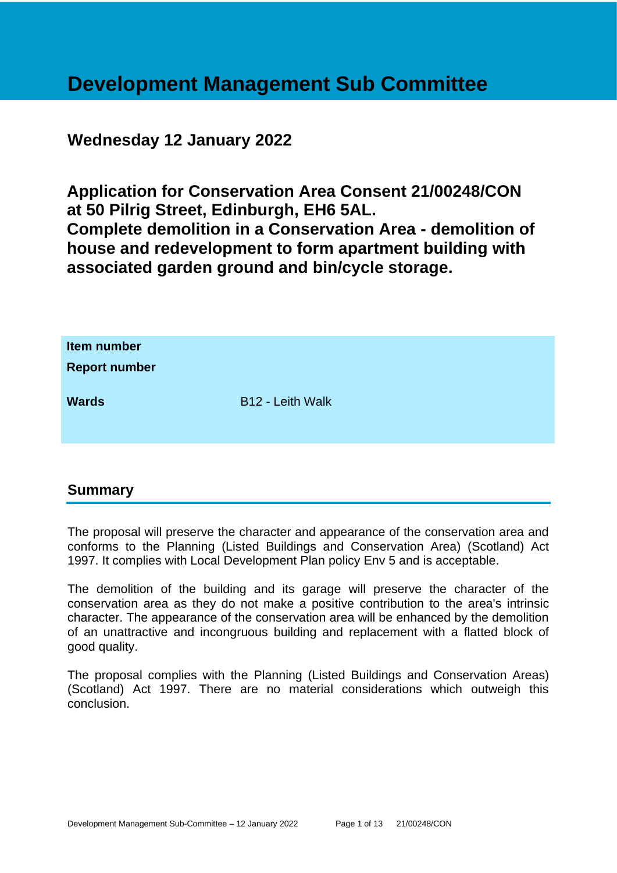# **Development Management Sub Committee**

# **Wednesday 12 January 2022**

**Application for Conservation Area Consent 21/00248/CON at 50 Pilrig Street, Edinburgh, EH6 5AL. Complete demolition in a Conservation Area - demolition of house and redevelopment to form apartment building with associated garden ground and bin/cycle storage.**

| Item number<br><b>Report number</b> |                  |
|-------------------------------------|------------------|
| <b>Wards</b>                        | B12 - Leith Walk |

# **Summary**

The proposal will preserve the character and appearance of the conservation area and conforms to the Planning (Listed Buildings and Conservation Area) (Scotland) Act 1997. It complies with Local Development Plan policy Env 5 and is acceptable.

The demolition of the building and its garage will preserve the character of the conservation area as they do not make a positive contribution to the area's intrinsic character. The appearance of the conservation area will be enhanced by the demolition of an unattractive and incongruous building and replacement with a flatted block of good quality.

The proposal complies with the Planning (Listed Buildings and Conservation Areas) (Scotland) Act 1997. There are no material considerations which outweigh this conclusion.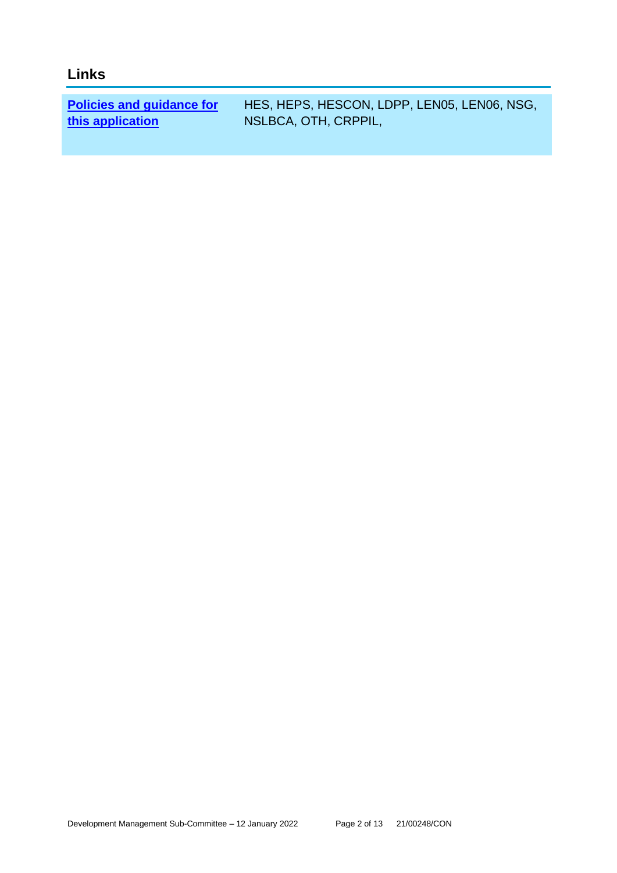# **Links**

**[Policies and guidance for](file:///C:/uniform/temp/uf04148.rtf%23Policies)  [this application](file:///C:/uniform/temp/uf04148.rtf%23Policies)**

HES, HEPS, HESCON, LDPP, LEN05, LEN06, NSG, NSLBCA, OTH, CRPPIL,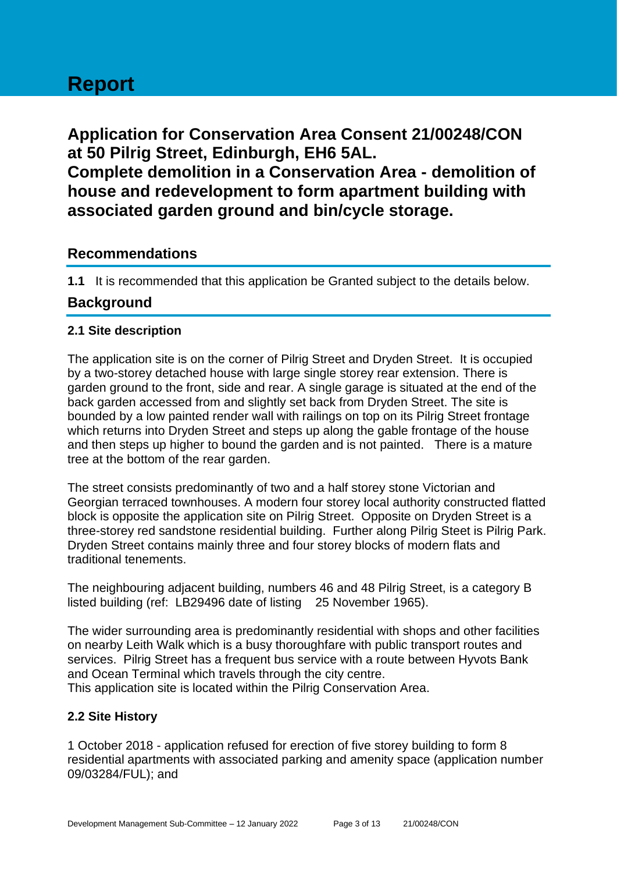# **Report**

**Application for Conservation Area Consent 21/00248/CON at 50 Pilrig Street, Edinburgh, EH6 5AL. Complete demolition in a Conservation Area - demolition of house and redevelopment to form apartment building with associated garden ground and bin/cycle storage.**

# **Recommendations**

**1.1** It is recommended that this application be Granted subject to the details below.

# **Background**

#### **2.1 Site description**

The application site is on the corner of Pilrig Street and Dryden Street. It is occupied by a two-storey detached house with large single storey rear extension. There is garden ground to the front, side and rear. A single garage is situated at the end of the back garden accessed from and slightly set back from Dryden Street. The site is bounded by a low painted render wall with railings on top on its Pilrig Street frontage which returns into Dryden Street and steps up along the gable frontage of the house and then steps up higher to bound the garden and is not painted. There is a mature tree at the bottom of the rear garden.

The street consists predominantly of two and a half storey stone Victorian and Georgian terraced townhouses. A modern four storey local authority constructed flatted block is opposite the application site on Pilrig Street. Opposite on Dryden Street is a three-storey red sandstone residential building. Further along Pilrig Steet is Pilrig Park. Dryden Street contains mainly three and four storey blocks of modern flats and traditional tenements.

The neighbouring adjacent building, numbers 46 and 48 Pilrig Street, is a category B listed building (ref: LB29496 date of listing 25 November 1965).

The wider surrounding area is predominantly residential with shops and other facilities on nearby Leith Walk which is a busy thoroughfare with public transport routes and services. Pilrig Street has a frequent bus service with a route between Hyvots Bank and Ocean Terminal which travels through the city centre. This application site is located within the Pilrig Conservation Area.

# **2.2 Site History**

1 October 2018 - application refused for erection of five storey building to form 8 residential apartments with associated parking and amenity space (application number 09/03284/FUL); and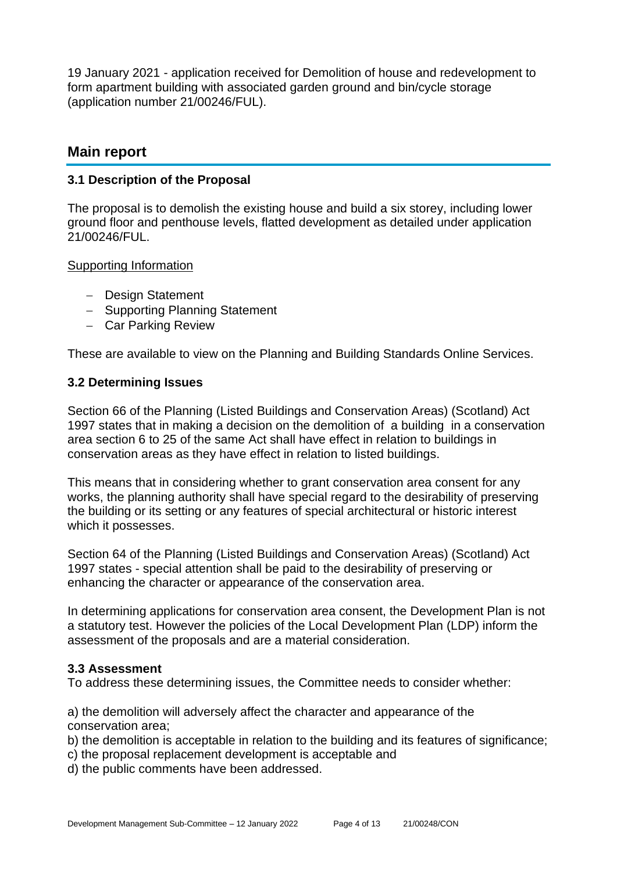19 January 2021 - application received for Demolition of house and redevelopment to form apartment building with associated garden ground and bin/cycle storage (application number 21/00246/FUL).

### **Main report**

#### **3.1 Description of the Proposal**

The proposal is to demolish the existing house and build a six storey, including lower ground floor and penthouse levels, flatted development as detailed under application 21/00246/FUL.

Supporting Information

- − Design Statement
- − Supporting Planning Statement
- − Car Parking Review

These are available to view on the Planning and Building Standards Online Services.

#### **3.2 Determining Issues**

Section 66 of the Planning (Listed Buildings and Conservation Areas) (Scotland) Act 1997 states that in making a decision on the demolition of a building in a conservation area section 6 to 25 of the same Act shall have effect in relation to buildings in conservation areas as they have effect in relation to listed buildings.

This means that in considering whether to grant conservation area consent for any works, the planning authority shall have special regard to the desirability of preserving the building or its setting or any features of special architectural or historic interest which it possesses.

Section 64 of the Planning (Listed Buildings and Conservation Areas) (Scotland) Act 1997 states - special attention shall be paid to the desirability of preserving or enhancing the character or appearance of the conservation area.

In determining applications for conservation area consent, the Development Plan is not a statutory test. However the policies of the Local Development Plan (LDP) inform the assessment of the proposals and are a material consideration.

#### **3.3 Assessment**

To address these determining issues, the Committee needs to consider whether:

a) the demolition will adversely affect the character and appearance of the conservation area;

- b) the demolition is acceptable in relation to the building and its features of significance;
- c) the proposal replacement development is acceptable and
- d) the public comments have been addressed.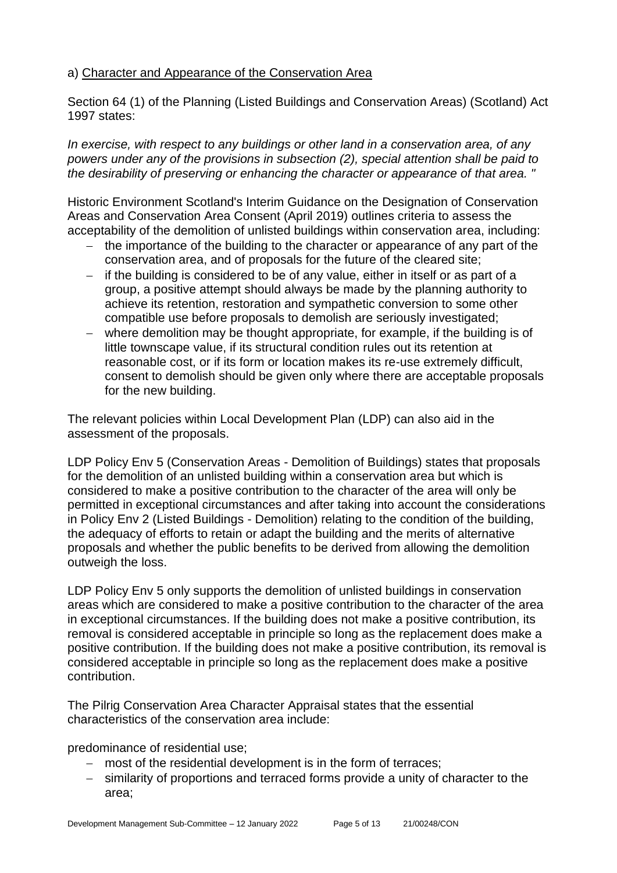#### a) Character and Appearance of the Conservation Area

Section 64 (1) of the Planning (Listed Buildings and Conservation Areas) (Scotland) Act 1997 states:

*In exercise, with respect to any buildings or other land in a conservation area, of any powers under any of the provisions in subsection (2), special attention shall be paid to the desirability of preserving or enhancing the character or appearance of that area. "*

Historic Environment Scotland's Interim Guidance on the Designation of Conservation Areas and Conservation Area Consent (April 2019) outlines criteria to assess the acceptability of the demolition of unlisted buildings within conservation area, including:

- the importance of the building to the character or appearance of any part of the conservation area, and of proposals for the future of the cleared site;
- − if the building is considered to be of any value, either in itself or as part of a group, a positive attempt should always be made by the planning authority to achieve its retention, restoration and sympathetic conversion to some other compatible use before proposals to demolish are seriously investigated;
- − where demolition may be thought appropriate, for example, if the building is of little townscape value, if its structural condition rules out its retention at reasonable cost, or if its form or location makes its re-use extremely difficult, consent to demolish should be given only where there are acceptable proposals for the new building.

The relevant policies within Local Development Plan (LDP) can also aid in the assessment of the proposals.

LDP Policy Env 5 (Conservation Areas - Demolition of Buildings) states that proposals for the demolition of an unlisted building within a conservation area but which is considered to make a positive contribution to the character of the area will only be permitted in exceptional circumstances and after taking into account the considerations in Policy Env 2 (Listed Buildings - Demolition) relating to the condition of the building, the adequacy of efforts to retain or adapt the building and the merits of alternative proposals and whether the public benefits to be derived from allowing the demolition outweigh the loss.

LDP Policy Env 5 only supports the demolition of unlisted buildings in conservation areas which are considered to make a positive contribution to the character of the area in exceptional circumstances. If the building does not make a positive contribution, its removal is considered acceptable in principle so long as the replacement does make a positive contribution. If the building does not make a positive contribution, its removal is considered acceptable in principle so long as the replacement does make a positive contribution.

The Pilrig Conservation Area Character Appraisal states that the essential characteristics of the conservation area include:

predominance of residential use;

- − most of the residential development is in the form of terraces;
- − similarity of proportions and terraced forms provide a unity of character to the area;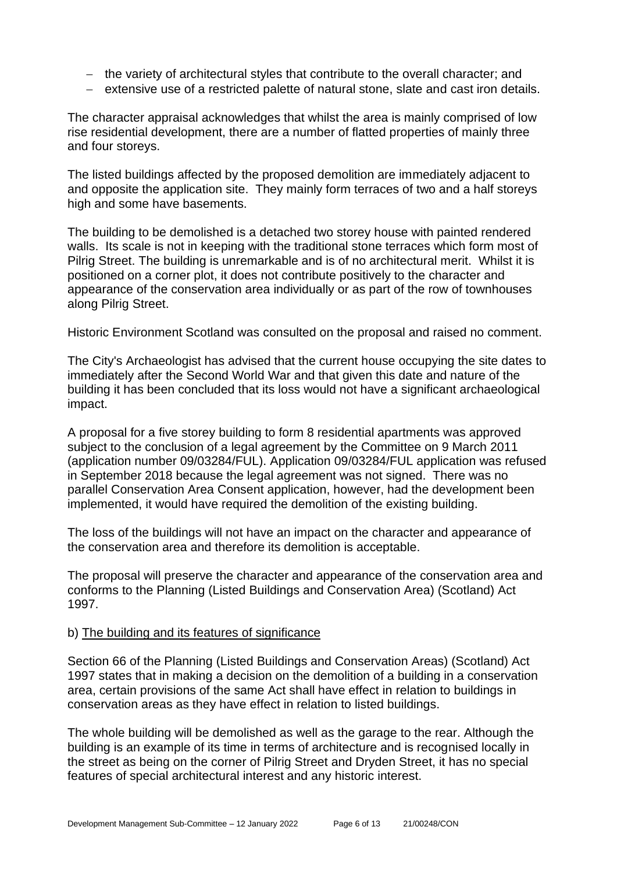- − the variety of architectural styles that contribute to the overall character; and
- − extensive use of a restricted palette of natural stone, slate and cast iron details.

The character appraisal acknowledges that whilst the area is mainly comprised of low rise residential development, there are a number of flatted properties of mainly three and four storeys.

The listed buildings affected by the proposed demolition are immediately adjacent to and opposite the application site. They mainly form terraces of two and a half storeys high and some have basements.

The building to be demolished is a detached two storey house with painted rendered walls. Its scale is not in keeping with the traditional stone terraces which form most of Pilrig Street. The building is unremarkable and is of no architectural merit. Whilst it is positioned on a corner plot, it does not contribute positively to the character and appearance of the conservation area individually or as part of the row of townhouses along Pilrig Street.

Historic Environment Scotland was consulted on the proposal and raised no comment.

The City's Archaeologist has advised that the current house occupying the site dates to immediately after the Second World War and that given this date and nature of the building it has been concluded that its loss would not have a significant archaeological impact.

A proposal for a five storey building to form 8 residential apartments was approved subject to the conclusion of a legal agreement by the Committee on 9 March 2011 (application number 09/03284/FUL). Application 09/03284/FUL application was refused in September 2018 because the legal agreement was not signed. There was no parallel Conservation Area Consent application, however, had the development been implemented, it would have required the demolition of the existing building.

The loss of the buildings will not have an impact on the character and appearance of the conservation area and therefore its demolition is acceptable.

The proposal will preserve the character and appearance of the conservation area and conforms to the Planning (Listed Buildings and Conservation Area) (Scotland) Act 1997.

#### b) The building and its features of significance

Section 66 of the Planning (Listed Buildings and Conservation Areas) (Scotland) Act 1997 states that in making a decision on the demolition of a building in a conservation area, certain provisions of the same Act shall have effect in relation to buildings in conservation areas as they have effect in relation to listed buildings.

The whole building will be demolished as well as the garage to the rear. Although the building is an example of its time in terms of architecture and is recognised locally in the street as being on the corner of Pilrig Street and Dryden Street, it has no special features of special architectural interest and any historic interest.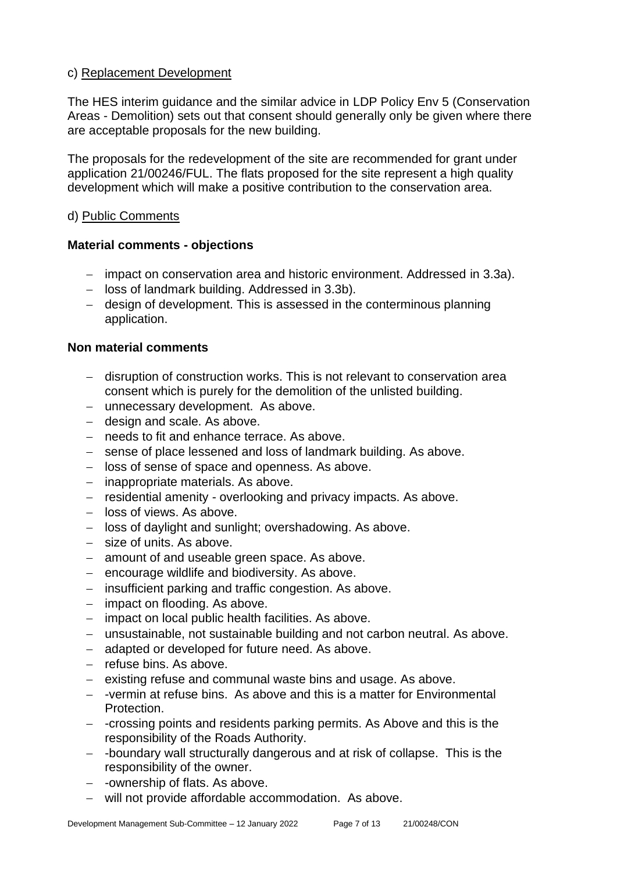#### c) Replacement Development

The HES interim guidance and the similar advice in LDP Policy Env 5 (Conservation Areas - Demolition) sets out that consent should generally only be given where there are acceptable proposals for the new building.

The proposals for the redevelopment of the site are recommended for grant under application 21/00246/FUL. The flats proposed for the site represent a high quality development which will make a positive contribution to the conservation area.

#### d) Public Comments

#### **Material comments - objections**

- − impact on conservation area and historic environment. Addressed in 3.3a).
- − loss of landmark building. Addressed in 3.3b).
- − design of development. This is assessed in the conterminous planning application.

#### **Non material comments**

- − disruption of construction works. This is not relevant to conservation area consent which is purely for the demolition of the unlisted building.
- − unnecessary development. As above.
- − design and scale. As above.
- − needs to fit and enhance terrace. As above.
- − sense of place lessened and loss of landmark building. As above.
- − loss of sense of space and openness. As above.
- − inappropriate materials. As above.
- − residential amenity overlooking and privacy impacts. As above.
- − loss of views. As above.
- − loss of daylight and sunlight; overshadowing. As above.
- − size of units. As above.
- − amount of and useable green space. As above.
- − encourage wildlife and biodiversity. As above.
- − insufficient parking and traffic congestion. As above.
- − impact on flooding. As above.
- − impact on local public health facilities. As above.
- − unsustainable, not sustainable building and not carbon neutral. As above.
- − adapted or developed for future need. As above.
- − refuse bins. As above.
- − existing refuse and communal waste bins and usage. As above.
- − -vermin at refuse bins. As above and this is a matter for Environmental Protection.
- − -crossing points and residents parking permits. As Above and this is the responsibility of the Roads Authority.
- − -boundary wall structurally dangerous and at risk of collapse. This is the responsibility of the owner.
- − -ownership of flats. As above.
- − will not provide affordable accommodation. As above.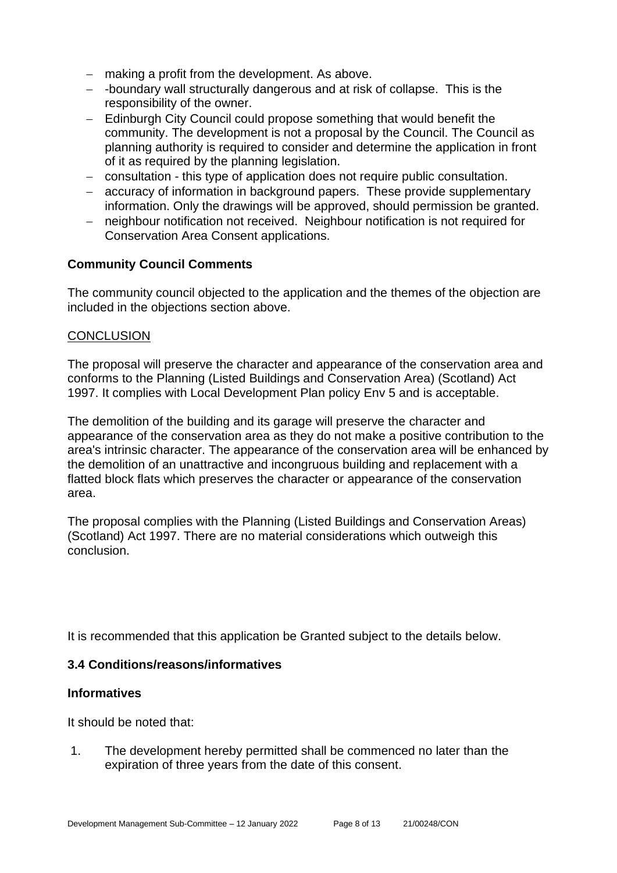- − making a profit from the development. As above.
- − -boundary wall structurally dangerous and at risk of collapse. This is the responsibility of the owner.
- − Edinburgh City Council could propose something that would benefit the community. The development is not a proposal by the Council. The Council as planning authority is required to consider and determine the application in front of it as required by the planning legislation.
- − consultation this type of application does not require public consultation.
- − accuracy of information in background papers. These provide supplementary information. Only the drawings will be approved, should permission be granted.
- − neighbour notification not received. Neighbour notification is not required for Conservation Area Consent applications.

#### **Community Council Comments**

The community council objected to the application and the themes of the objection are included in the objections section above.

#### **CONCLUSION**

The proposal will preserve the character and appearance of the conservation area and conforms to the Planning (Listed Buildings and Conservation Area) (Scotland) Act 1997. It complies with Local Development Plan policy Env 5 and is acceptable.

The demolition of the building and its garage will preserve the character and appearance of the conservation area as they do not make a positive contribution to the area's intrinsic character. The appearance of the conservation area will be enhanced by the demolition of an unattractive and incongruous building and replacement with a flatted block flats which preserves the character or appearance of the conservation area.

The proposal complies with the Planning (Listed Buildings and Conservation Areas) (Scotland) Act 1997. There are no material considerations which outweigh this conclusion.

It is recommended that this application be Granted subject to the details below.

#### **3.4 Conditions/reasons/informatives**

#### **Informatives**

It should be noted that:

1. The development hereby permitted shall be commenced no later than the expiration of three years from the date of this consent.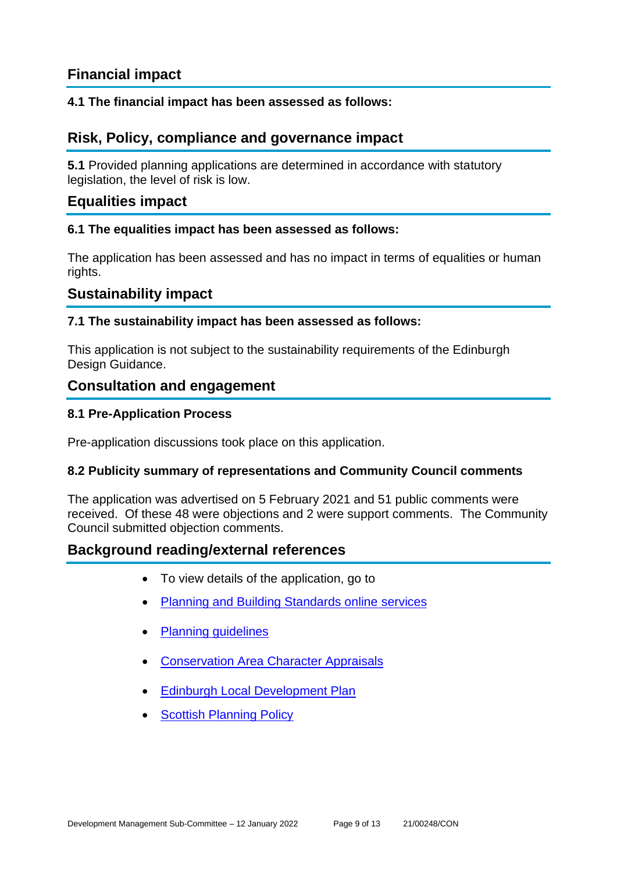# **Financial impact**

#### **4.1 The financial impact has been assessed as follows:**

# **Risk, Policy, compliance and governance impact**

**5.1** Provided planning applications are determined in accordance with statutory legislation, the level of risk is low.

# **Equalities impact**

#### **6.1 The equalities impact has been assessed as follows:**

The application has been assessed and has no impact in terms of equalities or human rights.

# **Sustainability impact**

#### **7.1 The sustainability impact has been assessed as follows:**

This application is not subject to the sustainability requirements of the Edinburgh Design Guidance.

# **Consultation and engagement**

#### **8.1 Pre-Application Process**

Pre-application discussions took place on this application.

#### **8.2 Publicity summary of representations and Community Council comments**

The application was advertised on 5 February 2021 and 51 public comments were received. Of these 48 were objections and 2 were support comments. The Community Council submitted objection comments.

# **Background reading/external references**

- To view details of the application, go to
- [Planning and Building Standards online](https://citydev-portal.edinburgh.gov.uk/idoxpa-web/search.do?action=simple&searchType=Application) services
- [Planning guidelines](http://www.edinburgh.gov.uk/planningguidelines)
- [Conservation Area Character Appraisals](http://www.edinburgh.gov.uk/characterappraisals)
- [Edinburgh Local Development Plan](http://www.edinburgh.gov.uk/localdevelopmentplan)
- **[Scottish Planning Policy](http://www.scotland.gov.uk/Topics/Built-Environment/planning/Policy)**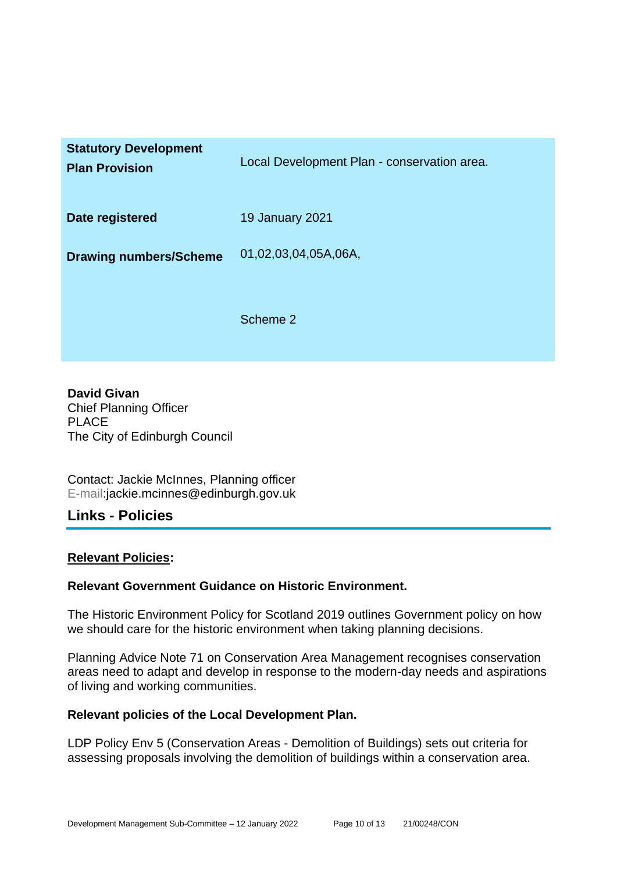| <b>Statutory Development</b><br><b>Plan Provision</b> | Local Development Plan - conservation area. |
|-------------------------------------------------------|---------------------------------------------|
| Date registered                                       | <b>19 January 2021</b>                      |
| <b>Drawing numbers/Scheme</b>                         | 01,02,03,04,05A,06A,                        |
|                                                       | Scheme 2                                    |

**David Givan** Chief Planning Officer PLACE The City of Edinburgh Council

Contact: Jackie McInnes, Planning officer E-mail:jackie.mcinnes@edinburgh.gov.uk

#### **Links - Policies**

#### **Relevant Policies:**

#### **Relevant Government Guidance on Historic Environment.**

The Historic Environment Policy for Scotland 2019 outlines Government policy on how we should care for the historic environment when taking planning decisions.

Planning Advice Note 71 on Conservation Area Management recognises conservation areas need to adapt and develop in response to the modern-day needs and aspirations of living and working communities.

#### **Relevant policies of the Local Development Plan.**

LDP Policy Env 5 (Conservation Areas - Demolition of Buildings) sets out criteria for assessing proposals involving the demolition of buildings within a conservation area.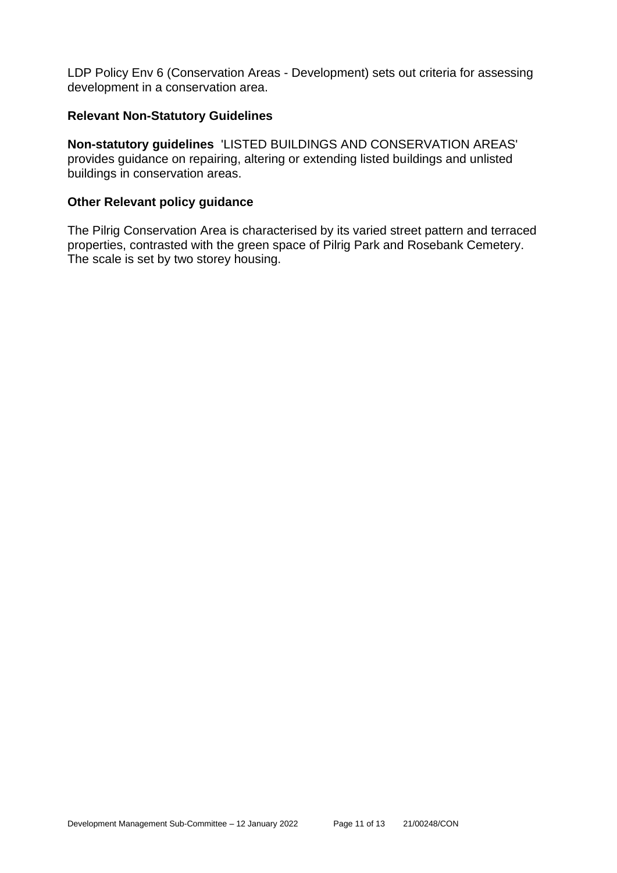LDP Policy Env 6 (Conservation Areas - Development) sets out criteria for assessing development in a conservation area.

#### **Relevant Non-Statutory Guidelines**

**Non-statutory guidelines** 'LISTED BUILDINGS AND CONSERVATION AREAS' provides guidance on repairing, altering or extending listed buildings and unlisted buildings in conservation areas.

#### **Other Relevant policy guidance**

The Pilrig Conservation Area is characterised by its varied street pattern and terraced properties, contrasted with the green space of Pilrig Park and Rosebank Cemetery. The scale is set by two storey housing.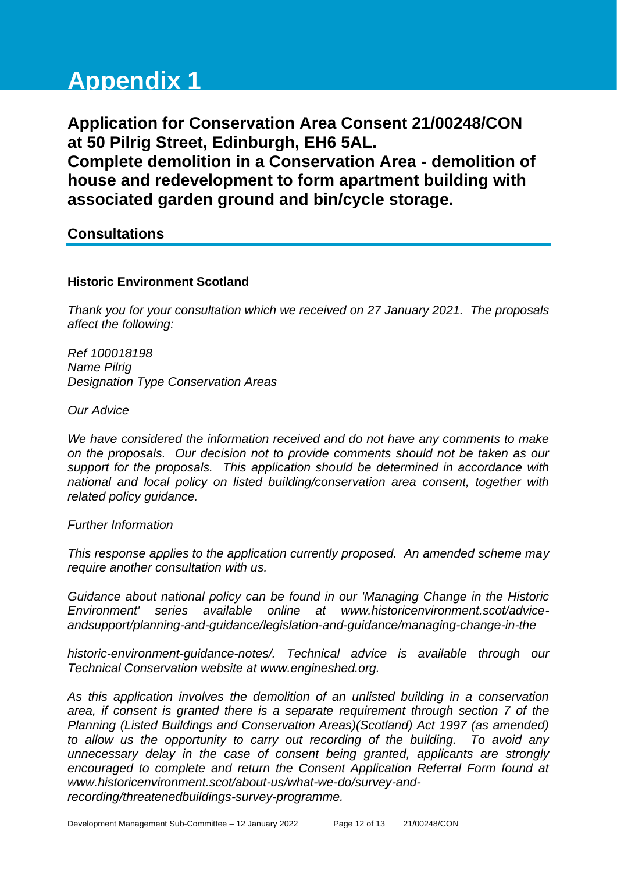# **Appendix 1**

**Application for Conservation Area Consent 21/00248/CON at 50 Pilrig Street, Edinburgh, EH6 5AL.**

**Complete demolition in a Conservation Area - demolition of house and redevelopment to form apartment building with associated garden ground and bin/cycle storage.**

# **Consultations**

#### **Historic Environment Scotland**

*Thank you for your consultation which we received on 27 January 2021. The proposals affect the following:* 

*Ref 100018198 Name Pilrig Designation Type Conservation Areas* 

*Our Advice* 

*We have considered the information received and do not have any comments to make on the proposals. Our decision not to provide comments should not be taken as our support for the proposals. This application should be determined in accordance with national and local policy on listed building/conservation area consent, together with related policy guidance.* 

*Further Information* 

*This response applies to the application currently proposed. An amended scheme may require another consultation with us.* 

*Guidance about national policy can be found in our 'Managing Change in the Historic Environment' series available online at www.historicenvironment.scot/adviceandsupport/planning-and-guidance/legislation-and-guidance/managing-change-in-the*

*historic-environment-guidance-notes/. Technical advice is available through our Technical Conservation website at www.engineshed.org.* 

*As this application involves the demolition of an unlisted building in a conservation area, if consent is granted there is a separate requirement through section 7 of the Planning (Listed Buildings and Conservation Areas)(Scotland) Act 1997 (as amended) to allow us the opportunity to carry out recording of the building. To avoid any unnecessary delay in the case of consent being granted, applicants are strongly encouraged to complete and return the Consent Application Referral Form found at www.historicenvironment.scot/about-us/what-we-do/survey-andrecording/threatenedbuildings-survey-programme.*